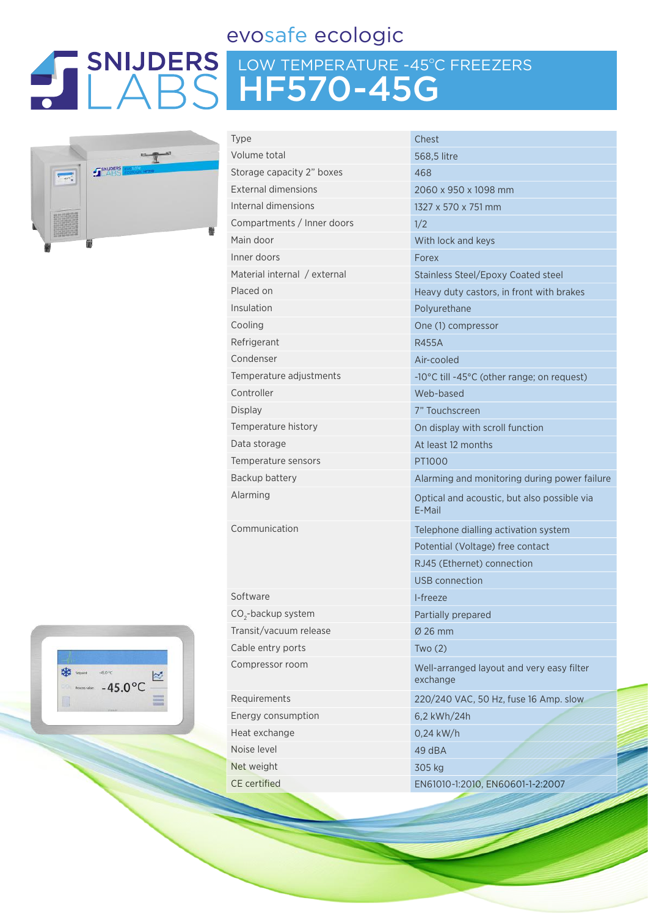### evosafe ecologic

# LOW TEMPERATURE -45ºC FREEZERS HF570-45G



| <b>Type</b>                    | Chest                                  |  |  |  |
|--------------------------------|----------------------------------------|--|--|--|
| Volume total                   | 568,5 litre                            |  |  |  |
| Storage capacity 2" boxes      | 468                                    |  |  |  |
| <b>External dimensions</b>     | 2060 x 950 x 1                         |  |  |  |
| Internal dimensions            | 1327 x 570 x 75                        |  |  |  |
| Compartments / Inner doors     | 1/2                                    |  |  |  |
| Main door                      | With lock and k                        |  |  |  |
| Inner doors                    | Forex                                  |  |  |  |
| Material internal / external   | Stainless Steel/                       |  |  |  |
| Placed on                      | Heavy duty cas                         |  |  |  |
| Insulation                     | Polyurethane                           |  |  |  |
| Cooling                        | One (1) compre                         |  |  |  |
| Refrigerant                    | <b>R455A</b>                           |  |  |  |
| Condenser                      | Air-cooled                             |  |  |  |
| Temperature adjustments        | -10 $^{\circ}$ C till -45 $^{\circ}$ C |  |  |  |
| Controller                     | Web-based                              |  |  |  |
| <b>Display</b>                 | 7" Touchscreen                         |  |  |  |
| Temperature history            | On display with                        |  |  |  |
| Data storage                   | At least 12 mon                        |  |  |  |
| Temperature sensors            | PT1000                                 |  |  |  |
| Backup battery                 | Alarming and n                         |  |  |  |
| Alarming                       | Optical and acc<br>E-Mail              |  |  |  |
| Communication                  | Telephone diall                        |  |  |  |
|                                | Potential (Volta                       |  |  |  |
|                                | RJ45 (Ethernet                         |  |  |  |
|                                | <b>USB</b> connection                  |  |  |  |
| Software                       | I-freeze                               |  |  |  |
| CO <sub>2</sub> -backup system | Partially prepar                       |  |  |  |
| Transit/vacuum release         | Ø 26 mm                                |  |  |  |
| Cable entry ports              | Two(2)                                 |  |  |  |
| Compressor room                | Well-arranged<br>exchange              |  |  |  |
| Requirements                   | 220/240 VAC, !                         |  |  |  |
| Energy consumption             | 6,2 kWh/24h                            |  |  |  |
| Heat exchange                  | 0,24 kW/h                              |  |  |  |
|                                |                                        |  |  |  |

50 x 1098 mm 0 x 751 mm and keys Steel/Epoxy Coated steel Ity castors, in front with brakes ompressor -45°C (other range; on request) Iv with scroll function 2 months and monitoring during power failure nd acoustic, but also possible via e dialling activation system (Voltage) free contact hernet) connection nection prepared Inged layout and very easy filter exchange VAC, 50 Hz, fuse 16 Amp. slow Noise level 49 dBA Net weight 305 kg CE certified EN61010-1:2010, EN60601-1-2:2007